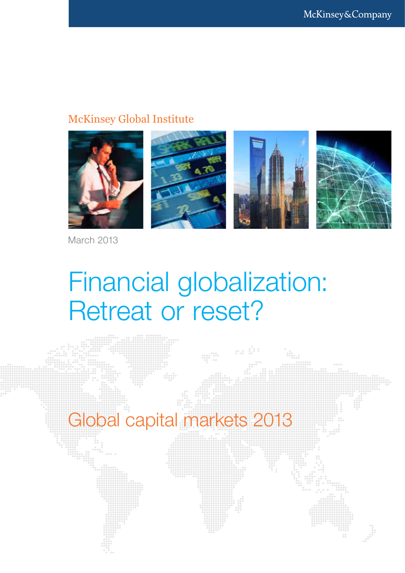#### McKinsey Global Institute



March 2013

### Financial globalization: Retreat or reset?

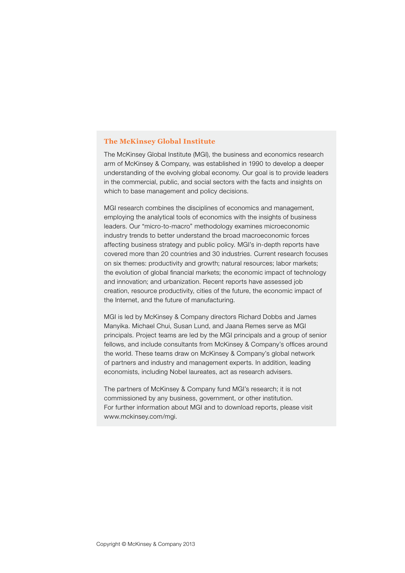#### **The McKinsey Global Institute**

The McKinsey Global Institute (MGI), the business and economics research arm of McKinsey & Company, was established in 1990 to develop a deeper understanding of the evolving global economy. Our goal is to provide leaders in the commercial, public, and social sectors with the facts and insights on which to base management and policy decisions.

MGI research combines the disciplines of economics and management, employing the analytical tools of economics with the insights of business leaders. Our "micro-to-macro" methodology examines microeconomic industry trends to better understand the broad macroeconomic forces affecting business strategy and public policy. MGI's in-depth reports have covered more than 20 countries and 30 industries. Current research focuses on six themes: productivity and growth; natural resources; labor markets; the evolution of global financial markets; the economic impact of technology and innovation; and urbanization. Recent reports have assessed job creation, resource productivity, cities of the future, the economic impact of the Internet, and the future of manufacturing.

MGI is led by McKinsey & Company directors Richard Dobbs and James Manyika. Michael Chui, Susan Lund, and Jaana Remes serve as MGI principals. Project teams are led by the MGI principals and a group of senior fellows, and include consultants from McKinsey & Company's offices around the world. These teams draw on McKinsey & Company's global network of partners and industry and management experts. In addition, leading economists, including Nobel laureates, act as research advisers.

The partners of McKinsey & Company fund MGI's research; it is not commissioned by any business, government, or other institution. For further information about MGI and to download reports, please visit www.mckinsey.com/mgi.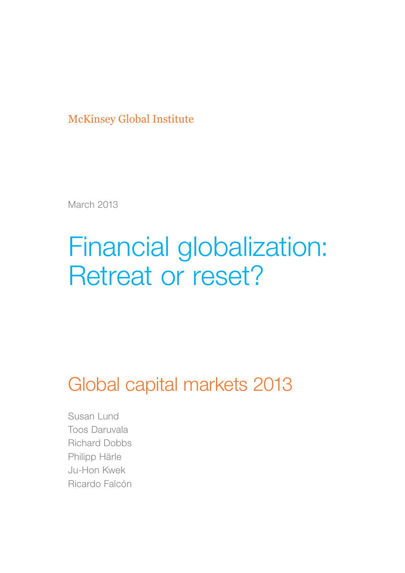McKinsey Global Institute

March 2013

### Financial globalization: Retreat or reset?

Global capital markets 2013

Susan Lund Toos Daruvala Richard Dobbs Philipp Härle Ju-Hon Kwek Ricardo Falcón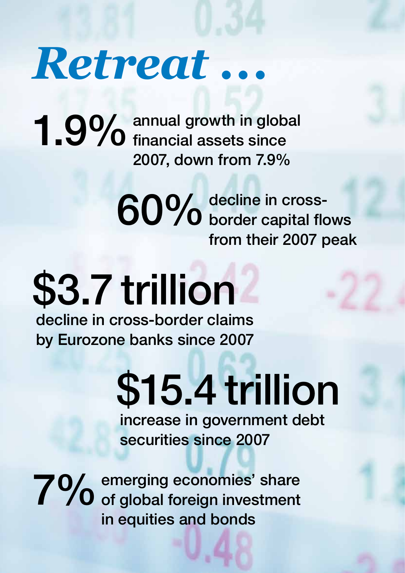## *Retreat ...*

annual growth in global 1.9% annual growth in global and the set of the same since 2007, down from 7.9%

> decline in cross-60% decline in cross-<br>60% border capital flows from their 2007 peak

# \$3.7 trillion

decline in cross-border claims by Eurozone banks since 2007

> increase in government debt securities since 2007 \$15.4 trillion

emerging economies' share 7% emerging economies' share<br>This of global foreign investment in equities and bonds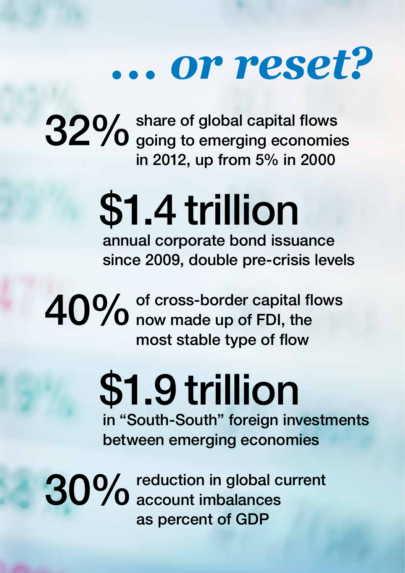## *... or reset?*

share of global capital flows 32% share of global capital flows<br>32% going to emerging economies in 2012, up from 5% in 2000

# \$1.4 trillion

annual corporate bond issuance since 2009, double pre-crisis levels

of cross-border capital flows 40% of cross-border capital flow made up of FDI, the most stable type of flow

## in "South-South" foreign investments \$1.9 trillion

between emerging economies

reduction in global current 30% reduction in global currely contained to the secount imbalances as percent of GDP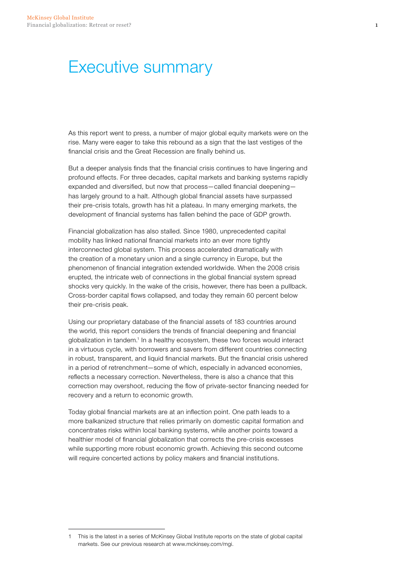#### Executive summary

As this report went to press, a number of major global equity markets were on the rise. Many were eager to take this rebound as a sign that the last vestiges of the financial crisis and the Great Recession are finally behind us.

But a deeper analysis finds that the financial crisis continues to have lingering and profound effects. For three decades, capital markets and banking systems rapidly expanded and diversified, but now that process—called financial deepening has largely ground to a halt. Although global financial assets have surpassed their pre-crisis totals, growth has hit a plateau. In many emerging markets, the development of financial systems has fallen behind the pace of GDP growth.

Financial globalization has also stalled. Since 1980, unprecedented capital mobility has linked national financial markets into an ever more tightly interconnected global system. This process accelerated dramatically with the creation of a monetary union and a single currency in Europe, but the phenomenon of financial integration extended worldwide. When the 2008 crisis erupted, the intricate web of connections in the global financial system spread shocks very quickly. In the wake of the crisis, however, there has been a pullback. Cross-border capital flows collapsed, and today they remain 60 percent below their pre-crisis peak.

Using our proprietary database of the financial assets of 183 countries around the world, this report considers the trends of financial deepening and financial globalization in tandem.1 In a healthy ecosystem, these two forces would interact in a virtuous cycle, with borrowers and savers from different countries connecting in robust, transparent, and liquid financial markets. But the financial crisis ushered in a period of retrenchment—some of which, especially in advanced economies, reflects a necessary correction. Nevertheless, there is also a chance that this correction may overshoot, reducing the flow of private-sector financing needed for recovery and a return to economic growth.

Today global financial markets are at an inflection point. One path leads to a more balkanized structure that relies primarily on domestic capital formation and concentrates risks within local banking systems, while another points toward a healthier model of financial globalization that corrects the pre-crisis excesses while supporting more robust economic growth. Achieving this second outcome will require concerted actions by policy makers and financial institutions.

<sup>1</sup> This is the latest in a series of McKinsey Global Institute reports on the state of global capital markets. See our previous research at www.mckinsey.com/mgi.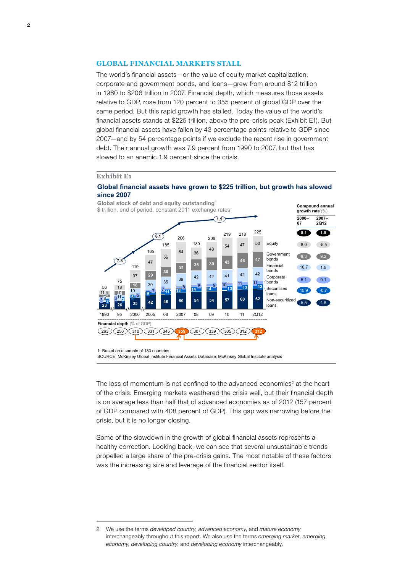#### **Global financial markets stall**

The world's financial assets—or the value of equity market capitalization, corporate and government bonds, and loans—grew from around \$12 trillion in 1980 to \$206 trillion in 2007. Financial depth, which measures those assets relative to GDP, rose from 120 percent to 355 percent of global GDP over the same period. But this rapid growth has stalled. Today the value of the world's financial assets stands at \$225 trillion, above the pre-crisis peak (Exhibit E1). But global financial assets have fallen by 43 percentage points relative to GDP since 2007—and by 54 percentage points if we exclude the recent rise in government debt. Their annual growth was 7.9 percent from 1990 to 2007, but that has slowed to an anemic 1.9 percent since the crisis.

#### **Exhibit E1**

#### **Global financial assets have grown to \$225 trillion, but growth has slowed since 2007**



1 Based on a sample of 183 countries.

SOURCE: McKinsey Global Institute Financial Assets Database; McKinsey Global Institute analysis

The loss of momentum is not confined to the advanced economies<sup>2</sup> at the heart of the crisis. Emerging markets weathered the crisis well, but their financial depth is on average less than half that of advanced economies as of 2012 (157 percent of GDP compared with 408 percent of GDP). This gap was narrowing before the crisis, but it is no longer closing.

Some of the slowdown in the growth of global financial assets represents a healthy correction. Looking back, we can see that several unsustainable trends propelled a large share of the pre-crisis gains. The most notable of these factors was the increasing size and leverage of the financial sector itself.

2 We use the terms *developed country*, *advanced economy*, and *mature economy* interchangeably throughout this report. We also use the terms *emerging market*, *emerging economy*, *developing country*, and *developing economy* interchangeably.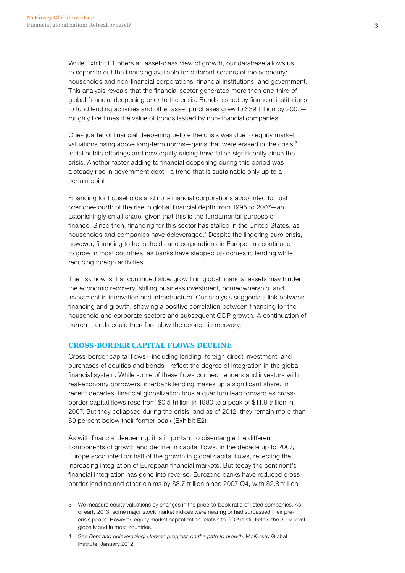While Exhibit E1 offers an asset-class view of growth, our database allows us to separate out the financing available for different sectors of the economy: households and non-financial corporations, financial institutions, and government. This analysis reveals that the financial sector generated more than one-third of global financial deepening prior to the crisis. Bonds issued by financial institutions to fund lending activities and other asset purchases grew to \$39 trillion by 2007 roughly five times the value of bonds issued by non-financial companies.

One-quarter of financial deepening before the crisis was due to equity market valuations rising above long-term norms-gains that were erased in the crisis.<sup>3</sup> Initial public offerings and new equity raising have fallen significantly since the crisis. Another factor adding to financial deepening during this period was a steady rise in government debt—a trend that is sustainable only up to a certain point.

Financing for households and non-financial corporations accounted for just over one-fourth of the rise in global financial depth from 1995 to 2007—an astonishingly small share, given that this is the fundamental purpose of finance. Since then, financing for this sector has stalled in the United States, as households and companies have deleveraged.<sup>4</sup> Despite the lingering euro crisis, however, financing to households and corporations in Europe has continued to grow in most countries, as banks have stepped up domestic lending while reducing foreign activities.

The risk now is that continued slow growth in global financial assets may hinder the economic recovery, stifling business investment, homeownership, and investment in innovation and infrastructure. Our analysis suggests a link between financing and growth, showing a positive correlation between financing for the household and corporate sectors and subsequent GDP growth. A continuation of current trends could therefore slow the economic recovery.

#### **Cross-border capital flows decline**

Cross-border capital flows—including lending, foreign direct investment, and purchases of equities and bonds—reflect the degree of integration in the global financial system. While some of these flows connect lenders and investors with real-economy borrowers, interbank lending makes up a significant share. In recent decades, financial globalization took a quantum leap forward as crossborder capital flows rose from \$0.5 trillion in 1980 to a peak of \$11.8 trillion in 2007. But they collapsed during the crisis, and as of 2012, they remain more than 60 percent below their former peak (Exhibit E2).

As with financial deepening, it is important to disentangle the different components of growth and decline in capital flows. In the decade up to 2007, Europe accounted for half of the growth in global capital flows, reflecting the increasing integration of European financial markets. But today the continent's financial integration has gone into reverse. Eurozone banks have reduced crossborder lending and other claims by \$3.7 trillion since 2007 Q4, with \$2.8 trillion

<sup>3</sup> We measure equity valuations by changes in the price-to-book ratio of listed companies. As of early 2013, some major stock market indices were nearing or had surpassed their precrisis peaks. However, equity market capitalization relative to GDP is still below the 2007 level globally and in most countries.

<sup>4</sup> See *Debt and deleveraging: Uneven progress on the path to growth*, McKinsey Global Institute, January 2012.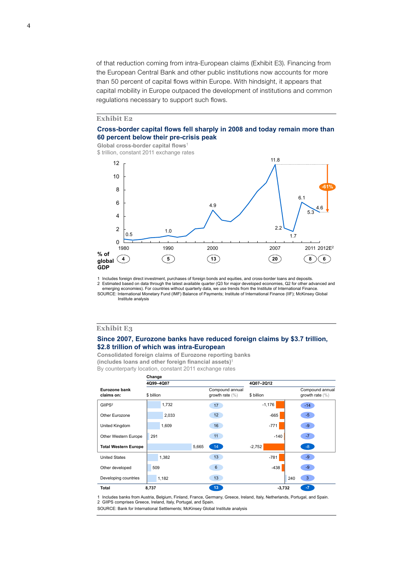of that reduction coming from intra-European claims (Exhibit E3). Financing from the European Central Bank and other public institutions now accounts for more than 50 percent of capital flows within Europe. With hindsight, it appears that capital mobility in Europe outpaced the development of institutions and common regulations necessary to support such flows.

#### **Exhibit E2**

4

#### **Cross-border capital flows fell sharply in 2008 and today remain more than 60 percent below their pre-crisis peak**

**Global cross-border capital flows**<sup>1</sup> \$ trillion, constant 2011 exchange rates



1 Includes foreign direct investment, purchases of foreign bonds and equities, and cross-border loans and deposits.

SOURCE: International Monetary Fund (IMF) Balance of Payments; Institute of International Finance (IIF); McKinsey Global Institute analysis 2 Estimated based on data through the latest available quarter (Q3 for major developed economies, Q2 for other advanced and<br>.emerging economies). For countries without quarterly data, we use trends from the Institute of In

#### **Exhibit E3**

#### **Since 2007, Eurozone banks have reduced foreign claims by \$3.7 trillion, \$2.8 trillion of which was intra-European**

**Consolidated foreign claims of Eurozone reporting banks (includes loans and other foreign financial assets)**<sup>1</sup> By counterparty location, constant 2011 exchange rates

|                             | Change     |                                        |            |                                        |
|-----------------------------|------------|----------------------------------------|------------|----------------------------------------|
|                             | 4Q99-4Q07  |                                        | 4Q07-2Q12  |                                        |
| Eurozone bank<br>claims on: | \$ billion | Compound annual<br>growth rate $(\% )$ | \$ billion | Compound annual<br>growth rate $(\% )$ |
| GIIPS <sup>2</sup>          | 1,732      | 17                                     | $-1,176$   | $-14$                                  |
| Other Eurozone              | 2,033      | 12                                     | $-665$     | $-5$                                   |
| United Kingdom              | 1,609      | 16                                     | $-771$     | $-9$                                   |
| Other Western Europe        | 291        | 11                                     | $-140$     | $-7$                                   |
| <b>Total Western Europe</b> |            | 14 <sup>2</sup><br>5,665               | $-2,752$   | $-8$                                   |
| <b>United States</b>        | 1,382      | 13                                     | $-781$     | -9                                     |
| Other developed             | 509        | 6                                      | $-438$     | $-9$                                   |
| Developing countries        | 1,182      | 13                                     |            | 3<br>240                               |
| Total                       | 8,737      | 13                                     | $-3,732$   | $-7$                                   |

1 Includes banks from Austria, Belgium, Finland, France, Germany, Greece, Ireland, Italy, Netherlands, Portugal, and Spain. 2 GIIPS comprises Greece, Ireland, Italy, Portugal, and Spain.

SOURCE: Bank for International Settlements; McKinsey Global Institute analysis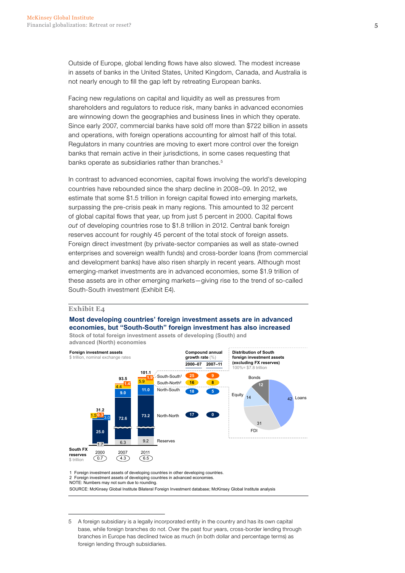Outside of Europe, global lending flows have also slowed. The modest increase in assets of banks in the United States, United Kingdom, Canada, and Australia is not nearly enough to fill the gap left by retreating European banks.

Facing new regulations on capital and liquidity as well as pressures from shareholders and regulators to reduce risk, many banks in advanced economies are winnowing down the geographies and business lines in which they operate. Since early 2007, commercial banks have sold off more than \$722 billion in assets and operations, with foreign operations accounting for almost half of this total. Regulators in many countries are moving to exert more control over the foreign banks that remain active in their jurisdictions, in some cases requesting that banks operate as subsidiaries rather than branches.<sup>5</sup>

In contrast to advanced economies, capital flows involving the world's developing countries have rebounded since the sharp decline in 2008–09. In 2012, we estimate that some \$1.5 trillion in foreign capital flowed into emerging markets, surpassing the pre-crisis peak in many regions. This amounted to 32 percent of global capital flows that year, up from just 5 percent in 2000. Capital flows *out* of developing countries rose to \$1.8 trillion in 2012. Central bank foreign reserves account for roughly 45 percent of the total stock of foreign assets. Foreign direct investment (by private-sector companies as well as state-owned enterprises and sovereign wealth funds) and cross-border loans (from commercial and development banks) have also risen sharply in recent years. Although most emerging-market investments are in advanced economies, some \$1.9 trillion of these assets are in other emerging markets—giving rise to the trend of so-called South-South investment (Exhibit E4).

#### **Exhibit E4**

#### **Most developing countries' foreign investment assets are in advanced economies, but "South-South" foreign investment has also increased**

**Stock of total foreign investment assets of developing (South) and advanced (North) economies**



1 Foreign investment assets of developing countries in other developing countries. 2 Foreign investment assets of developing countries in advanced economies.

NOTE: Numbers may not sum due to rounding.

SOURCE: McKinsey Global Institute Bilateral Foreign Investment database; McKinsey Global Institute analysis

<sup>5</sup> A foreign subsidiary is a legally incorporated entity in the country and has its own capital base, while foreign branches do not. Over the past four years, cross-border lending through branches in Europe has declined twice as much (in both dollar and percentage terms) as foreign lending through subsidiaries.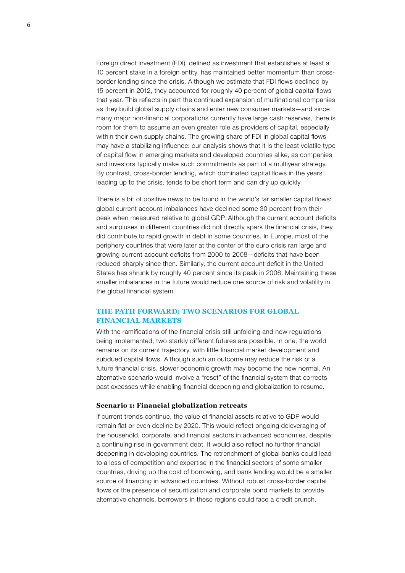Foreign direct investment (FDI), defined as investment that establishes at least a 10 percent stake in a foreign entity, has maintained better momentum than crossborder lending since the crisis. Although we estimate that FDI flows declined by 15 percent in 2012, they accounted for roughly 40 percent of global capital flows that year. This reflects in part the continued expansion of multinational companies as they build global supply chains and enter new consumer markets—and since many major non-financial corporations currently have large cash reserves, there is room for them to assume an even greater role as providers of capital, especially within their own supply chains. The growing share of FDI in global capital flows may have a stabilizing influence: our analysis shows that it is the least volatile type of capital flow in emerging markets and developed countries alike, as companies and investors typically make such commitments as part of a multiyear strategy. By contrast, cross-border lending, which dominated capital flows in the years leading up to the crisis, tends to be short term and can dry up quickly.

There is a bit of positive news to be found in the world's far smaller capital flows: global current account imbalances have declined some 30 percent from their peak when measured relative to global GDP. Although the current account deficits and surpluses in different countries did not directly spark the financial crisis, they did contribute to rapid growth in debt in some countries. In Europe, most of the periphery countries that were later at the center of the euro crisis ran large and growing current account deficits from 2000 to 2008—deficits that have been reduced sharply since then. Similarly, the current account deficit in the United States has shrunk by roughly 40 percent since its peak in 2006. Maintaining these smaller imbalances in the future would reduce one source of risk and volatility in the global financial system.

#### **The path forward: Two scenarios for global financial markets**

With the ramifications of the financial crisis still unfolding and new regulations being implemented, two starkly different futures are possible. In one, the world remains on its current trajectory, with little financial market development and subdued capital flows. Although such an outcome may reduce the risk of a future financial crisis, slower economic growth may become the new normal. An alternative scenario would involve a "reset" of the financial system that corrects past excesses while enabling financial deepening and globalization to resume.

#### **Scenario 1: Financial globalization retreats**

If current trends continue, the value of financial assets relative to GDP would remain flat or even decline by 2020. This would reflect ongoing deleveraging of the household, corporate, and financial sectors in advanced economies, despite a continuing rise in government debt. It would also reflect no further financial deepening in developing countries. The retrenchment of global banks could lead to a loss of competition and expertise in the financial sectors of some smaller countries, driving up the cost of borrowing, and bank lending would be a smaller source of financing in advanced countries. Without robust cross-border capital flows or the presence of securitization and corporate bond markets to provide alternative channels, borrowers in these regions could face a credit crunch.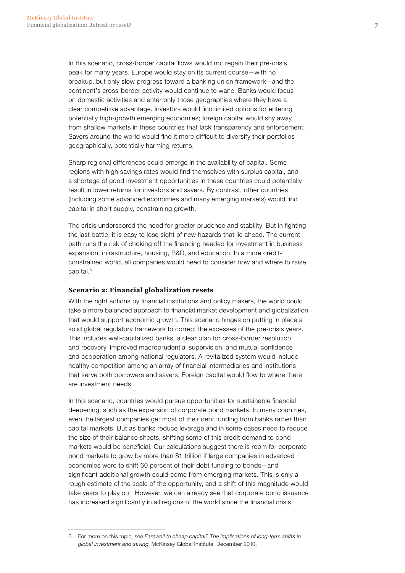In this scenario, cross-border capital flows would not regain their pre-crisis peak for many years. Europe would stay on its current course—with no breakup, but only slow progress toward a banking union framework—and the continent's cross-border activity would continue to wane. Banks would focus on domestic activities and enter only those geographies where they have a clear competitive advantage. Investors would find limited options for entering potentially high-growth emerging economies; foreign capital would shy away from shallow markets in these countries that lack transparency and enforcement. Savers around the world would find it more difficult to diversify their portfolios geographically, potentially harming returns.

Sharp regional differences could emerge in the availability of capital. Some regions with high savings rates would find themselves with surplus capital, and a shortage of good investment opportunities in these countries could potentially result in lower returns for investors and savers. By contrast, other countries (including some advanced economies and many emerging markets) would find capital in short supply, constraining growth.

The crisis underscored the need for greater prudence and stability. But in fighting the last battle, it is easy to lose sight of new hazards that lie ahead. The current path runs the risk of choking off the financing needed for investment in business expansion, infrastructure, housing, R&D, and education. In a more creditconstrained world, all companies would need to consider how and where to raise capital.<sup>6</sup>

#### **Scenario 2: Financial globalization resets**

With the right actions by financial institutions and policy makers, the world could take a more balanced approach to financial market development and globalization that would support economic growth. This scenario hinges on putting in place a solid global regulatory framework to correct the excesses of the pre-crisis years. This includes well-capitalized banks, a clear plan for cross-border resolution and recovery, improved macroprudential supervision, and mutual confidence and cooperation among national regulators. A revitalized system would include healthy competition among an array of financial intermediaries and institutions that serve both borrowers and savers. Foreign capital would flow to where there are investment needs.

In this scenario, countries would pursue opportunities for sustainable financial deepening, such as the expansion of corporate bond markets. In many countries, even the largest companies get most of their debt funding from banks rather than capital markets. But as banks reduce leverage and in some cases need to reduce the size of their balance sheets, shifting some of this credit demand to bond markets would be beneficial. Our calculations suggest there is room for corporate bond markets to grow by more than \$1 trillion if large companies in advanced economies were to shift 60 percent of their debt funding to bonds—and significant additional growth could come from emerging markets. This is only a rough estimate of the scale of the opportunity, and a shift of this magnitude would take years to play out. However, we can already see that corporate bond issuance has increased significantly in all regions of the world since the financial crisis.

<sup>6</sup> For more on this topic, see *Farewell to cheap capital? The implications of long-term shifts in global investment and saving*, McKinsey Global Institute, December 2010.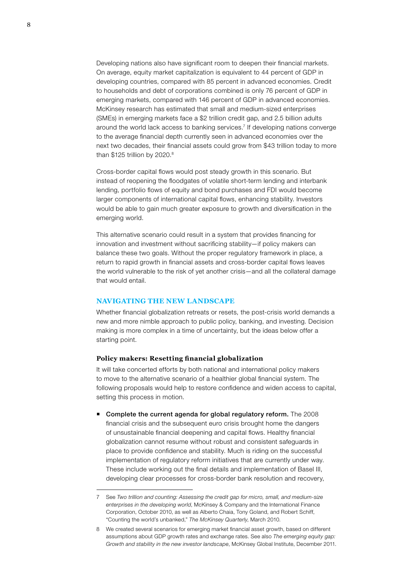Developing nations also have significant room to deepen their financial markets. On average, equity market capitalization is equivalent to 44 percent of GDP in developing countries, compared with 85 percent in advanced economies. Credit to households and debt of corporations combined is only 76 percent of GDP in emerging markets, compared with 146 percent of GDP in advanced economies. McKinsey research has estimated that small and medium-sized enterprises (SMEs) in emerging markets face a \$2 trillion credit gap, and 2.5 billion adults around the world lack access to banking services.7 If developing nations converge to the average financial depth currently seen in advanced economies over the next two decades, their financial assets could grow from \$43 trillion today to more than \$125 trillion by 2020.<sup>8</sup>

Cross-border capital flows would post steady growth in this scenario. But instead of reopening the floodgates of volatile short-term lending and interbank lending, portfolio flows of equity and bond purchases and FDI would become larger components of international capital flows, enhancing stability. Investors would be able to gain much greater exposure to growth and diversification in the emerging world.

This alternative scenario could result in a system that provides financing for innovation and investment without sacrificing stability—if policy makers can balance these two goals. Without the proper regulatory framework in place, a return to rapid growth in financial assets and cross-border capital flows leaves the world vulnerable to the risk of yet another crisis—and all the collateral damage that would entail.

#### **Navigating the new landscape**

Whether financial globalization retreats or resets, the post-crisis world demands a new and more nimble approach to public policy, banking, and investing. Decision making is more complex in a time of uncertainty, but the ideas below offer a starting point.

#### **Policy makers: Resetting financial globalization**

It will take concerted efforts by both national and international policy makers to move to the alternative scenario of a healthier global financial system. The following proposals would help to restore confidence and widen access to capital, setting this process in motion.

 Complete the current agenda for global regulatory reform. The 2008 financial crisis and the subsequent euro crisis brought home the dangers of unsustainable financial deepening and capital flows. Healthy financial globalization cannot resume without robust and consistent safeguards in place to provide confidence and stability. Much is riding on the successful implementation of regulatory reform initiatives that are currently under way. These include working out the final details and implementation of Basel III, developing clear processes for cross-border bank resolution and recovery,

<sup>7</sup> See *Two trillion and counting: Assessing the credit gap for micro, small, and medium-size enterprises in the developing world*, McKinsey & Company and the International Finance Corporation, October 2010, as well as Alberto Chaia, Tony Goland, and Robert Schiff, "Counting the world's unbanked," *The McKinsey Quarterly*, March 2010.

<sup>8</sup> We created several scenarios for emerging market financial asset growth, based on different assumptions about GDP growth rates and exchange rates. See also *The emerging equity gap: Growth and stability in the new investor landscape*, McKinsey Global Institute, December 2011.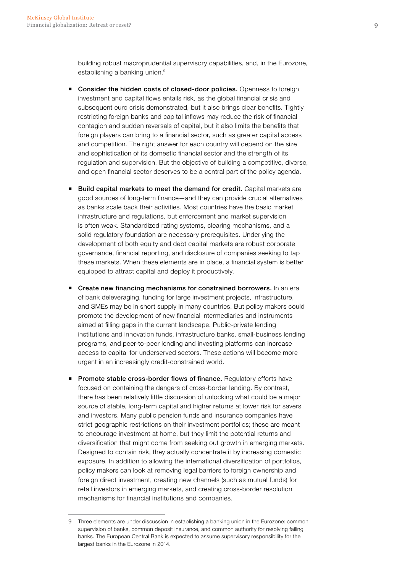building robust macroprudential supervisory capabilities, and, in the Eurozone, establishing a banking union.<sup>9</sup>

- Consider the hidden costs of closed-door policies. Openness to foreign investment and capital flows entails risk, as the global financial crisis and subsequent euro crisis demonstrated, but it also brings clear benefits. Tightly restricting foreign banks and capital inflows may reduce the risk of financial contagion and sudden reversals of capital, but it also limits the benefits that foreign players can bring to a financial sector, such as greater capital access and competition. The right answer for each country will depend on the size and sophistication of its domestic financial sector and the strength of its regulation and supervision. But the objective of building a competitive, diverse, and open financial sector deserves to be a central part of the policy agenda.
- **Build capital markets to meet the demand for credit.** Capital markets are good sources of long-term finance—and they can provide crucial alternatives as banks scale back their activities. Most countries have the basic market infrastructure and regulations, but enforcement and market supervision is often weak. Standardized rating systems, clearing mechanisms, and a solid regulatory foundation are necessary prerequisites. Underlying the development of both equity and debt capital markets are robust corporate governance, financial reporting, and disclosure of companies seeking to tap these markets. When these elements are in place, a financial system is better equipped to attract capital and deploy it productively.
- Create new financing mechanisms for constrained borrowers. In an era of bank deleveraging, funding for large investment projects, infrastructure, and SMEs may be in short supply in many countries. But policy makers could promote the development of new financial intermediaries and instruments aimed at filling gaps in the current landscape. Public-private lending institutions and innovation funds, infrastructure banks, small-business lending programs, and peer-to-peer lending and investing platforms can increase access to capital for underserved sectors. These actions will become more urgent in an increasingly credit-constrained world.
- **Promote stable cross-border flows of finance.** Regulatory efforts have focused on containing the dangers of cross-border lending. By contrast, there has been relatively little discussion of unlocking what could be a major source of stable, long-term capital and higher returns at lower risk for savers and investors. Many public pension funds and insurance companies have strict geographic restrictions on their investment portfolios; these are meant to encourage investment at home, but they limit the potential returns and diversification that might come from seeking out growth in emerging markets. Designed to contain risk, they actually concentrate it by increasing domestic exposure. In addition to allowing the international diversification of portfolios, policy makers can look at removing legal barriers to foreign ownership and foreign direct investment, creating new channels (such as mutual funds) for retail investors in emerging markets, and creating cross-border resolution mechanisms for financial institutions and companies.

<sup>9</sup> Three elements are under discussion in establishing a banking union in the Eurozone: common supervision of banks, common deposit insurance, and common authority for resolving failing banks. The European Central Bank is expected to assume supervisory responsibility for the largest banks in the Eurozone in 2014.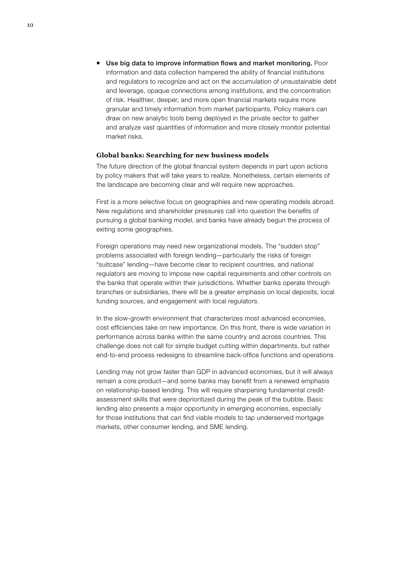■ Use big data to improve information flows and market monitoring. Poor information and data collection hampered the ability of financial institutions and regulators to recognize and act on the accumulation of unsustainable debt and leverage, opaque connections among institutions, and the concentration of risk. Healthier, deeper, and more open financial markets require more granular and timely information from market participants. Policy makers can draw on new analytic tools being deployed in the private sector to gather and analyze vast quantities of information and more closely monitor potential market risks.

#### **Global banks: Searching for new business models**

The future direction of the global financial system depends in part upon actions by policy makers that will take years to realize. Nonetheless, certain elements of the landscape are becoming clear and will require new approaches.

First is a more selective focus on geographies and new operating models abroad. New regulations and shareholder pressures call into question the benefits of pursuing a global banking model, and banks have already begun the process of exiting some geographies.

Foreign operations may need new organizational models. The "sudden stop" problems associated with foreign lending—particularly the risks of foreign "suitcase" lending—have become clear to recipient countries, and national regulators are moving to impose new capital requirements and other controls on the banks that operate within their jurisdictions. Whether banks operate through branches or subsidiaries, there will be a greater emphasis on local deposits, local funding sources, and engagement with local regulators.

In the slow-growth environment that characterizes most advanced economies, cost efficiencies take on new importance. On this front, there is wide variation in performance across banks within the same country and across countries. This challenge does not call for simple budget cutting within departments, but rather end-to-end process redesigns to streamline back-office functions and operations.

Lending may not grow faster than GDP in advanced economies, but it will always remain a core product—and some banks may benefit from a renewed emphasis on relationship-based lending. This will require sharpening fundamental creditassessment skills that were deprioritized during the peak of the bubble. Basic lending also presents a major opportunity in emerging economies, especially for those institutions that can find viable models to tap underserved mortgage markets, other consumer lending, and SME lending.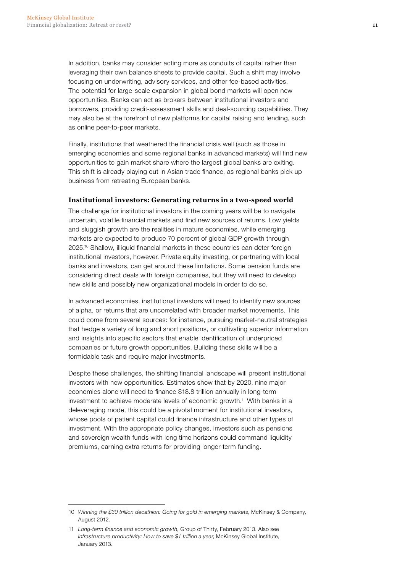In addition, banks may consider acting more as conduits of capital rather than leveraging their own balance sheets to provide capital. Such a shift may involve focusing on underwriting, advisory services, and other fee-based activities. The potential for large-scale expansion in global bond markets will open new opportunities. Banks can act as brokers between institutional investors and borrowers, providing credit-assessment skills and deal-sourcing capabilities. They may also be at the forefront of new platforms for capital raising and lending, such as online peer-to-peer markets.

Finally, institutions that weathered the financial crisis well (such as those in emerging economies and some regional banks in advanced markets) will find new opportunities to gain market share where the largest global banks are exiting. This shift is already playing out in Asian trade finance, as regional banks pick up business from retreating European banks.

#### **Institutional investors: Generating returns in a two-speed world**

The challenge for institutional investors in the coming years will be to navigate uncertain, volatile financial markets and find new sources of returns. Low yields and sluggish growth are the realities in mature economies, while emerging markets are expected to produce 70 percent of global GDP growth through 2025.10 Shallow, illiquid financial markets in these countries can deter foreign institutional investors, however. Private equity investing, or partnering with local banks and investors, can get around these limitations. Some pension funds are considering direct deals with foreign companies, but they will need to develop new skills and possibly new organizational models in order to do so.

In advanced economies, institutional investors will need to identify new sources of alpha, or returns that are uncorrelated with broader market movements. This could come from several sources: for instance, pursuing market-neutral strategies that hedge a variety of long and short positions, or cultivating superior information and insights into specific sectors that enable identification of underpriced companies or future growth opportunities. Building these skills will be a formidable task and require major investments.

Despite these challenges, the shifting financial landscape will present institutional investors with new opportunities. Estimates show that by 2020, nine major economies alone will need to finance \$18.8 trillion annually in long-term investment to achieve moderate levels of economic growth.11 With banks in a deleveraging mode, this could be a pivotal moment for institutional investors, whose pools of patient capital could finance infrastructure and other types of investment. With the appropriate policy changes, investors such as pensions and sovereign wealth funds with long time horizons could command liquidity premiums, earning extra returns for providing longer-term funding.

<sup>10</sup> *Winning the \$30 trillion decathlon: Going for gold in emerging markets*, McKinsey & Company, August 2012.

<sup>11</sup> *Long-term finance and economic growth*, Group of Thirty, February 2013. Also see *Infrastructure productivity: How to save \$1 trillion a year*, McKinsey Global Institute, January 2013.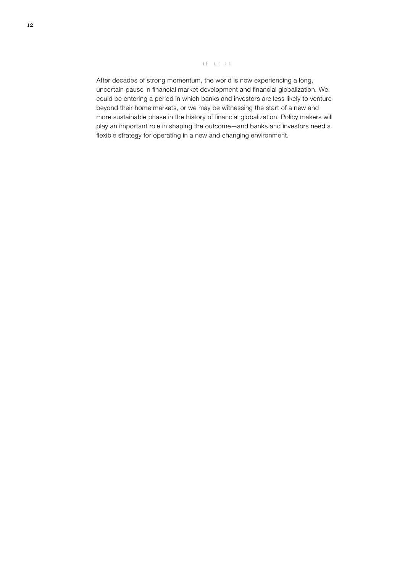$\begin{array}{cccccccccccccc} \Box & \Box & \Box & \Box \end{array}$ 

After decades of strong momentum, the world is now experiencing a long, uncertain pause in financial market development and financial globalization. We could be entering a period in which banks and investors are less likely to venture beyond their home markets, or we may be witnessing the start of a new and more sustainable phase in the history of financial globalization. Policy makers will play an important role in shaping the outcome—and banks and investors need a flexible strategy for operating in a new and changing environment.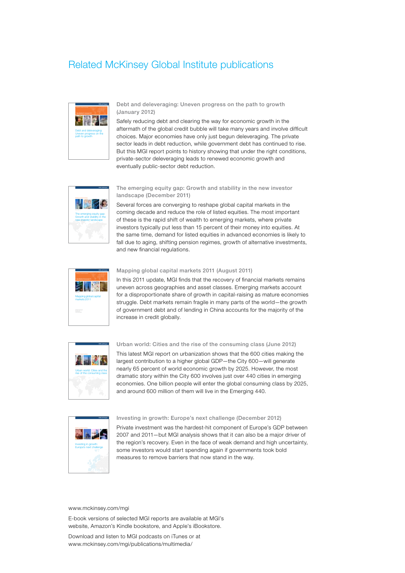#### Related McKinsey Global Institute publications



Debt and deleveraging: Uneven progress on the path to growth (January 2012)

Safely reducing debt and clearing the way for economic growth in the aftermath of the global credit bubble will take many years and involve difficult choices. Major economies have only just begun deleveraging. The private sector leads in debt reduction, while government debt has continued to rise. But this MGI report points to history showing that under the right conditions, private-sector deleveraging leads to renewed economic growth and eventually public-sector debt reduction.



#### The emerging equity gap: Growth and stability in the new investor landscape (December 2011)

Several forces are converging to reshape global capital markets in the coming decade and reduce the role of listed equities. The most important of these is the rapid shift of wealth to emerging markets, where private investors typically put less than 15 percent of their money into equities. At the same time, demand for listed equities in advanced economies is likely to fall due to aging, shifting pension regimes, growth of alternative investments, and new financial regulations.



#### Mapping global capital markets 2011 (August 2011)

In this 2011 update, MGI finds that the recovery of financial markets remains uneven across geographies and asset classes. Emerging markets account for a disproportionate share of growth in capital-raising as mature economies struggle. Debt markets remain fragile in many parts of the world—the growth of government debt and of lending in China accounts for the majority of the increase in credit globally.



Urban world: Cities and the rise of the consuming class (June 2012)

This latest MGI report on urbanization shows that the 600 cities making the largest contribution to a higher global GDP—the City 600—will generate nearly 65 percent of world economic growth by 2025. However, the most dramatic story within the City 600 involves just over 440 cities in emerging economies. One billion people will enter the global consuming class by 2025, and around 600 million of them will live in the Emerging 440.



Investing in growth: Europe's next challenge (December 2012)

Private investment was the hardest-hit component of Europe's GDP between 2007 and 2011—but MGI analysis shows that it can also be a major driver of the region's recovery. Even in the face of weak demand and high uncertainty, some investors would start spending again if governments took bold measures to remove barriers that now stand in the way.

#### www.mckinsey.com/mgi

E-book versions of selected MGI reports are available at MGI's website, Amazon's Kindle bookstore, and Apple's iBookstore.

Download and listen to MGI podcasts on iTunes or at www.mckinsey.com/mgi/publications/multimedia/